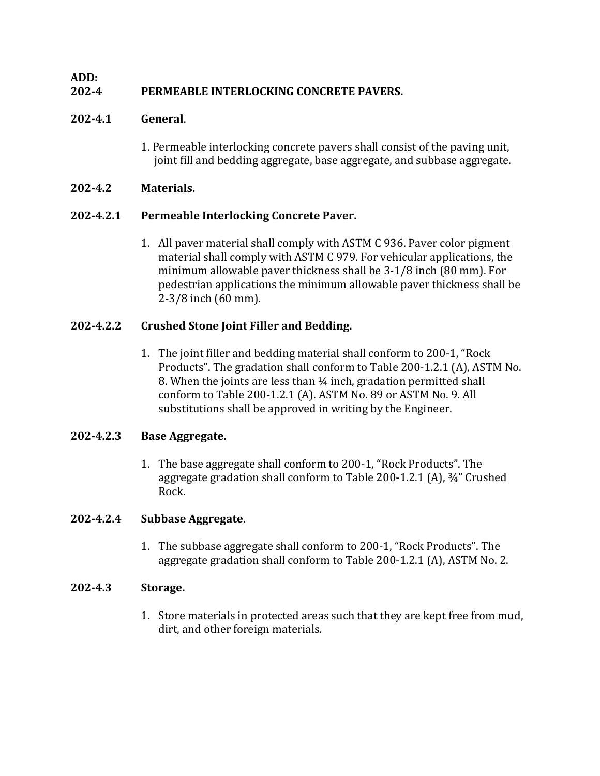## **ADD:**

# **202-4 PERMEABLE INTERLOCKING CONCRETE PAVERS.**

## **202-4.1 General**.

1. Permeable interlocking concrete pavers shall consist of the paving unit, joint fill and bedding aggregate, base aggregate, and subbase aggregate.

## **202-4.2 Materials.**

## **202-4.2.1 Permeable Interlocking Concrete Paver.**

1. All paver material shall comply with ASTM C 936. Paver color pigment material shall comply with ASTM C 979. For vehicular applications, the minimum allowable paver thickness shall be 3-1/8 inch (80 mm). For pedestrian applications the minimum allowable paver thickness shall be 2-3/8 inch (60 mm).

## **202-4.2.2 Crushed Stone Joint Filler and Bedding.**

1. The joint filler and bedding material shall conform to 200-1, "Rock Products". The gradation shall conform to Table 200-1.2.1 (A), ASTM No. 8. When the joints are less than ¼ inch, gradation permitted shall conform to Table 200-1.2.1 (A). ASTM No. 89 or ASTM No. 9. All substitutions shall be approved in writing by the Engineer.

## **202-4.2.3 Base Aggregate.**

1. The base aggregate shall conform to 200-1, "Rock Products". The aggregate gradation shall conform to Table 200-1.2.1 (A), ¾" Crushed Rock.

## **202-4.2.4 Subbase Aggregate**.

1. The subbase aggregate shall conform to 200-1, "Rock Products". The aggregate gradation shall conform to Table 200-1.2.1 (A), ASTM No. 2.

## **202-4.3 Storage.**

1. Store materials in protected areas such that they are kept free from mud, dirt, and other foreign materials.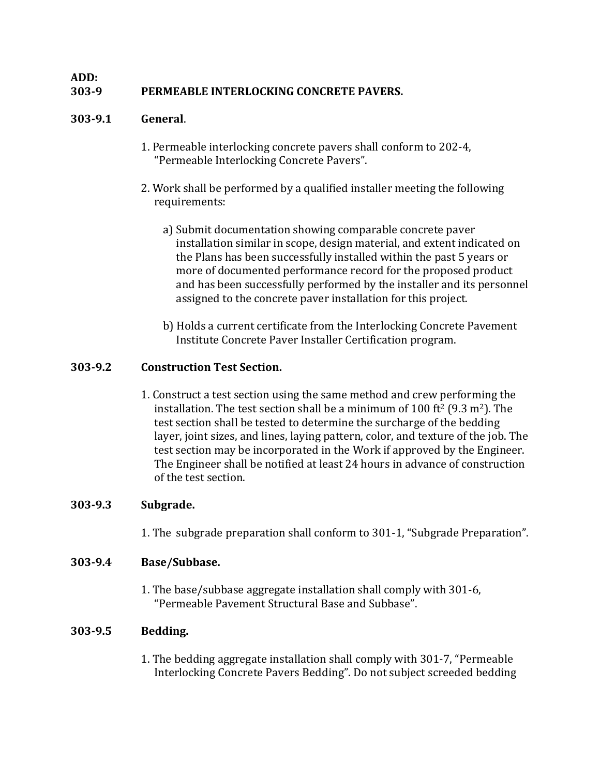# **303-9 PERMEABLE INTERLOCKING CONCRETE PAVERS.**

## **303-9.1 General**.

**ADD:**

- 1. Permeable interlocking concrete pavers shall conform to 202-4, "Permeable Interlocking Concrete Pavers".
- 2. Work shall be performed by a qualified installer meeting the following requirements:
	- a) Submit documentation showing comparable concrete paver installation similar in scope, design material, and extent indicated on the Plans has been successfully installed within the past 5 years or more of documented performance record for the proposed product and has been successfully performed by the installer and its personnel assigned to the concrete paver installation for this project.
	- b) Holds a current certificate from the Interlocking Concrete Pavement Institute Concrete Paver Installer Certification program.

## **303-9.2 Construction Test Section.**

1. Construct a test section using the same method and crew performing the installation. The test section shall be a minimum of 100 ft<sup>2</sup> (9.3 m<sup>2</sup>). The test section shall be tested to determine the surcharge of the bedding layer, joint sizes, and lines, laying pattern, color, and texture of the job. The test section may be incorporated in the Work if approved by the Engineer. The Engineer shall be notified at least 24 hours in advance of construction of the test section.

## **303-9.3 Subgrade.**

1. The subgrade preparation shall conform to 301-1, "Subgrade Preparation".

## **303-9.4 Base/Subbase.**

1. The base/subbase aggregate installation shall comply with 301-6, "Permeable Pavement Structural Base and Subbase".

## **303-9.5 Bedding.**

1. The bedding aggregate installation shall comply with 301-7, "Permeable Interlocking Concrete Pavers Bedding". Do not subject screeded bedding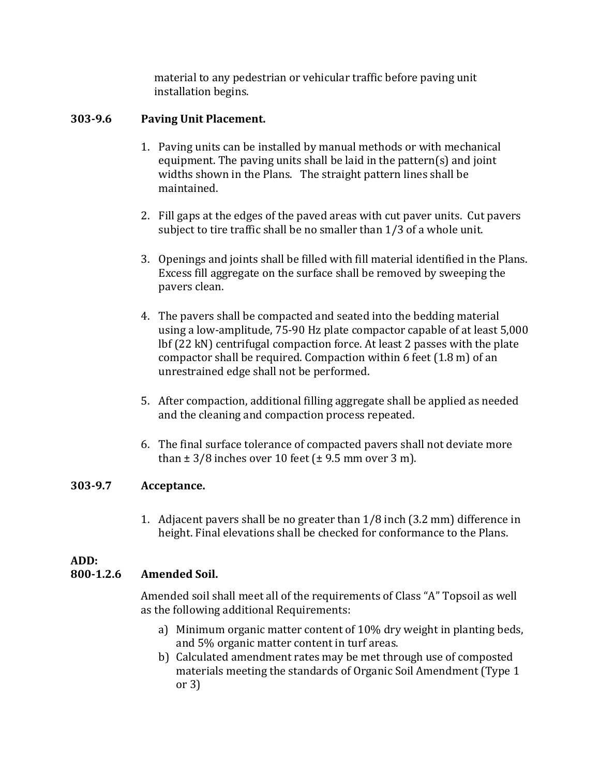material to any pedestrian or vehicular traffic before paving unit installation begins.

## **303-9.6 Paving Unit Placement.**

- 1. Paving units can be installed by manual methods or with mechanical equipment. The paving units shall be laid in the pattern(s) and joint widths shown in the Plans. The straight pattern lines shall be maintained.
- 2. Fill gaps at the edges of the paved areas with cut paver units. Cut pavers subject to tire traffic shall be no smaller than 1/3 of a whole unit.
- 3. Openings and joints shall be filled with fill material identified in the Plans. Excess fill aggregate on the surface shall be removed by sweeping the pavers clean.
- 4. The pavers shall be compacted and seated into the bedding material using a low-amplitude, 75-90 Hz plate compactor capable of at least 5,000 lbf (22 kN) centrifugal compaction force. At least 2 passes with the plate compactor shall be required. Compaction within 6 feet (1.8 m) of an unrestrained edge shall not be performed.
- 5. After compaction, additional filling aggregate shall be applied as needed and the cleaning and compaction process repeated.
- 6. The final surface tolerance of compacted pavers shall not deviate more than  $\pm$  3/8 inches over 10 feet ( $\pm$  9.5 mm over 3 m).

## **303-9.7 Acceptance.**

1. Adjacent pavers shall be no greater than 1/8 inch (3.2 mm) difference in height. Final elevations shall be checked for conformance to the Plans.

# **ADD:**

## **800-1.2.6 Amended Soil.**

Amended soil shall meet all of the requirements of Class "A" Topsoil as well as the following additional Requirements:

- a) Minimum organic matter content of 10% dry weight in planting beds, and 5% organic matter content in turf areas.
- b) Calculated amendment rates may be met through use of composted materials meeting the standards of Organic Soil Amendment (Type 1 or 3)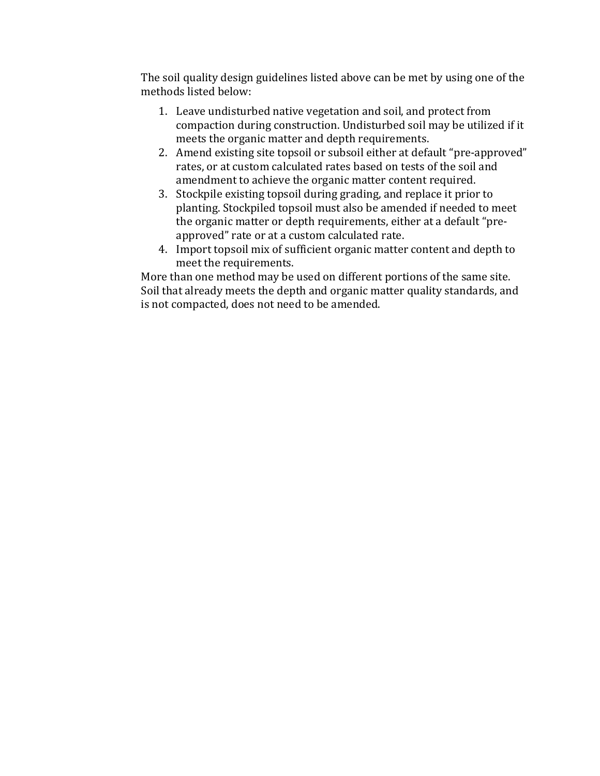The soil quality design guidelines listed above can be met by using one of the methods listed below:

- 1. Leave undisturbed native vegetation and soil, and protect from compaction during construction. Undisturbed soil may be utilized if it meets the organic matter and depth requirements.
- 2. Amend existing site topsoil or subsoil either at default "pre-approved" rates, or at custom calculated rates based on tests of the soil and amendment to achieve the organic matter content required.
- 3. Stockpile existing topsoil during grading, and replace it prior to planting. Stockpiled topsoil must also be amended if needed to meet the organic matter or depth requirements, either at a default "preapproved" rate or at a custom calculated rate.
- 4. Import topsoil mix of sufficient organic matter content and depth to meet the requirements.

More than one method may be used on different portions of the same site. Soil that already meets the depth and organic matter quality standards, and is not compacted, does not need to be amended.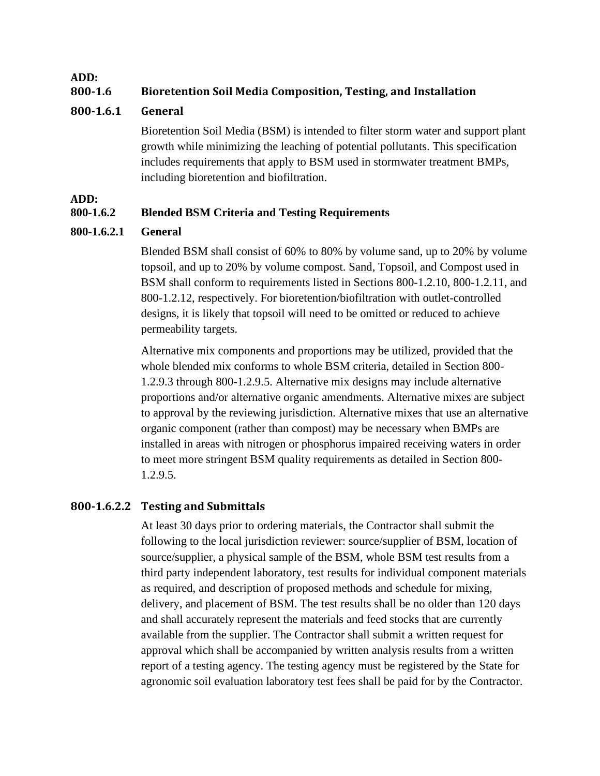**ADD:**

# **800-1.6 Bioretention Soil Media Composition, Testing, and Installation**

## **800-1.6.1 General**

Bioretention Soil Media (BSM) is intended to filter storm water and support plant growth while minimizing the leaching of potential pollutants. This specification includes requirements that apply to BSM used in stormwater treatment BMPs, including bioretention and biofiltration.

**ADD:**

## **800-1.6.2 Blended BSM Criteria and Testing Requirements**

## **800-1.6.2.1 General**

Blended BSM shall consist of 60% to 80% by volume sand, up to 20% by volume topsoil, and up to 20% by volume compost. Sand, Topsoil, and Compost used in BSM shall conform to requirements listed in Sections 800-1.2.10, 800-1.2.11, and 800-1.2.12, respectively. For bioretention/biofiltration with outlet-controlled designs, it is likely that topsoil will need to be omitted or reduced to achieve permeability targets.

Alternative mix components and proportions may be utilized, provided that the whole blended mix conforms to whole BSM criteria, detailed in Section 800- 1.2.9.3 through 800-1.2.9.5. Alternative mix designs may include alternative proportions and/or alternative organic amendments. Alternative mixes are subject to approval by the reviewing jurisdiction. Alternative mixes that use an alternative organic component (rather than compost) may be necessary when BMPs are installed in areas with nitrogen or phosphorus impaired receiving waters in order to meet more stringent BSM quality requirements as detailed in Section 800- 1.2.9.5.

## **800-1.6.2.2 Testing and Submittals**

At least 30 days prior to ordering materials, the Contractor shall submit the following to the local jurisdiction reviewer: source/supplier of BSM, location of source/supplier, a physical sample of the BSM, whole BSM test results from a third party independent laboratory, test results for individual component materials as required, and description of proposed methods and schedule for mixing, delivery, and placement of BSM. The test results shall be no older than 120 days and shall accurately represent the materials and feed stocks that are currently available from the supplier. The Contractor shall submit a written request for approval which shall be accompanied by written analysis results from a written report of a testing agency. The testing agency must be registered by the State for agronomic soil evaluation laboratory test fees shall be paid for by the Contractor.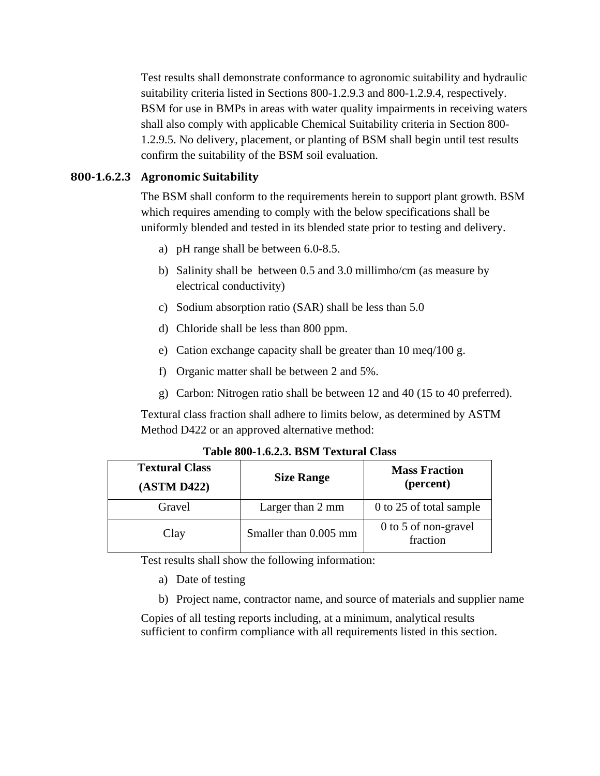Test results shall demonstrate conformance to agronomic suitability and hydraulic suitability criteria listed in Sections 800-1.2.9.3 and 800-1.2.9.4, respectively. BSM for use in BMPs in areas with water quality impairments in receiving waters shall also comply with applicable Chemical Suitability criteria in Section 800- 1.2.9.5. No delivery, placement, or planting of BSM shall begin until test results confirm the suitability of the BSM soil evaluation.

#### **800-1.6.2.3 Agronomic Suitability**

The BSM shall conform to the requirements herein to support plant growth. BSM which requires amending to comply with the below specifications shall be uniformly blended and tested in its blended state prior to testing and delivery.

- a) pH range shall be between 6.0-8.5.
- b) Salinity shall be between 0.5 and 3.0 millimho/cm (as measure by electrical conductivity)
- c) Sodium absorption ratio (SAR) shall be less than 5.0
- d) Chloride shall be less than 800 ppm.
- e) Cation exchange capacity shall be greater than 10 meq/100 g.
- f) Organic matter shall be between 2 and 5%.
- g) Carbon: Nitrogen ratio shall be between 12 and 40 (15 to 40 preferred).

Textural class fraction shall adhere to limits below, as determined by ASTM Method D422 or an approved alternative method:

| <b>Textural Class</b><br>(ASTM D422) | <b>Size Range</b>     | <b>Mass Fraction</b><br>(percent) |
|--------------------------------------|-----------------------|-----------------------------------|
| Gravel                               | Larger than 2 mm      | 0 to 25 of total sample           |
| Clay                                 | Smaller than 0.005 mm | 0 to 5 of non-gravel<br>fraction  |

**Table 800-1.6.2.3. BSM Textural Class**

Test results shall show the following information:

- a) Date of testing
- b) Project name, contractor name, and source of materials and supplier name

Copies of all testing reports including, at a minimum, analytical results sufficient to confirm compliance with all requirements listed in this section.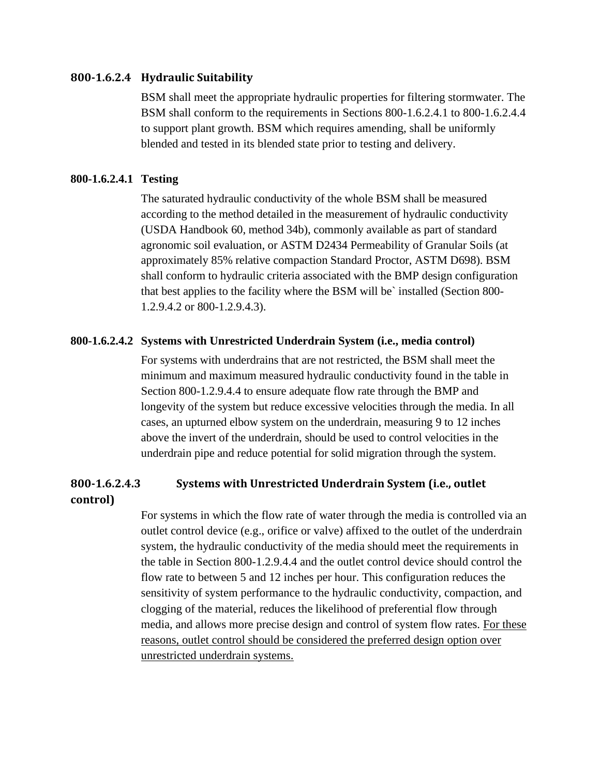#### **800-1.6.2.4 Hydraulic Suitability**

BSM shall meet the appropriate hydraulic properties for filtering stormwater. The BSM shall conform to the requirements in Sections 800-1.6.2.4.1 to 800-1.6.2.4.4 to support plant growth. BSM which requires amending, shall be uniformly blended and tested in its blended state prior to testing and delivery.

#### **800-1.6.2.4.1 Testing**

The saturated hydraulic conductivity of the whole BSM shall be measured according to the method detailed in the measurement of hydraulic conductivity (USDA Handbook 60, method 34b), commonly available as part of standard agronomic soil evaluation, or ASTM D2434 Permeability of Granular Soils (at approximately 85% relative compaction Standard Proctor, ASTM D698). BSM shall conform to hydraulic criteria associated with the BMP design configuration that best applies to the facility where the BSM will be` installed (Section 800- 1.2.9.4.2 or 800-1.2.9.4.3).

#### **800-1.6.2.4.2 Systems with Unrestricted Underdrain System (i.e., media control)**

For systems with underdrains that are not restricted, the BSM shall meet the minimum and maximum measured hydraulic conductivity found in the table in Section 800-1.2.9.4.4 to ensure adequate flow rate through the BMP and longevity of the system but reduce excessive velocities through the media. In all cases, an upturned elbow system on the underdrain, measuring 9 to 12 inches above the invert of the underdrain, should be used to control velocities in the underdrain pipe and reduce potential for solid migration through the system.

# **800-1.6.2.4.3 Systems with Unrestricted Underdrain System (i.e., outlet**

#### **control)**

For systems in which the flow rate of water through the media is controlled via an outlet control device (e.g., orifice or valve) affixed to the outlet of the underdrain system, the hydraulic conductivity of the media should meet the requirements in the table in Section 800-1.2.9.4.4 and the outlet control device should control the flow rate to between 5 and 12 inches per hour. This configuration reduces the sensitivity of system performance to the hydraulic conductivity, compaction, and clogging of the material, reduces the likelihood of preferential flow through media, and allows more precise design and control of system flow rates. For these reasons, outlet control should be considered the preferred design option over unrestricted underdrain systems.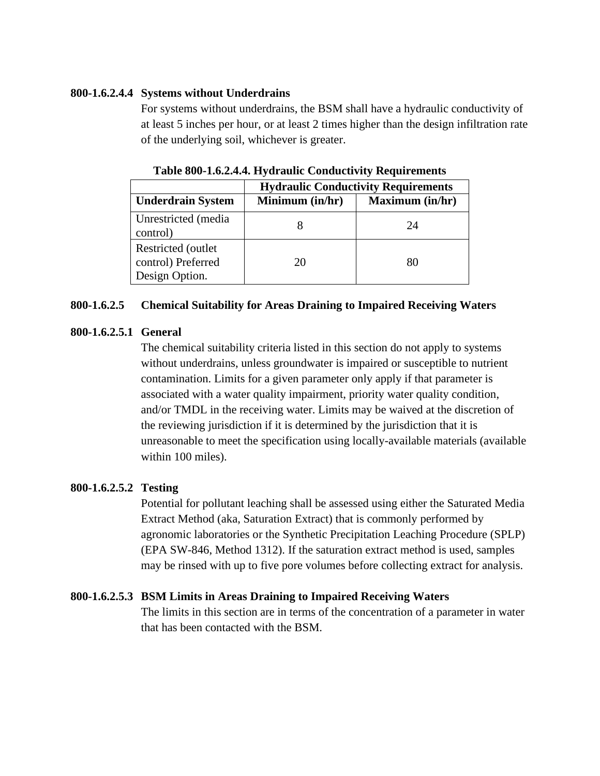#### **800-1.6.2.4.4 Systems without Underdrains**

For systems without underdrains, the BSM shall have a hydraulic conductivity of at least 5 inches per hour, or at least 2 times higher than the design infiltration rate of the underlying soil, whichever is greater.

|                                                             | <b>Hydraulic Conductivity Requirements</b> |                        |
|-------------------------------------------------------------|--------------------------------------------|------------------------|
| <b>Underdrain System</b>                                    | Minimum (in/hr)                            | <b>Maximum</b> (in/hr) |
| Unrestricted (media<br>control)                             |                                            | 24                     |
| Restricted (outlet)<br>control) Preferred<br>Design Option. | 20                                         | 80                     |

**Table 800-1.6.2.4.4. Hydraulic Conductivity Requirements**

#### **800-1.6.2.5 Chemical Suitability for Areas Draining to Impaired Receiving Waters**

#### **800-1.6.2.5.1 General**

The chemical suitability criteria listed in this section do not apply to systems without underdrains, unless groundwater is impaired or susceptible to nutrient contamination. Limits for a given parameter only apply if that parameter is associated with a water quality impairment, priority water quality condition, and/or TMDL in the receiving water. Limits may be waived at the discretion of the reviewing jurisdiction if it is determined by the jurisdiction that it is unreasonable to meet the specification using locally-available materials (available within 100 miles).

## **800-1.6.2.5.2 Testing**

Potential for pollutant leaching shall be assessed using either the Saturated Media Extract Method (aka, Saturation Extract) that is commonly performed by agronomic laboratories or the Synthetic Precipitation Leaching Procedure (SPLP) (EPA SW-846, Method 1312). If the saturation extract method is used, samples may be rinsed with up to five pore volumes before collecting extract for analysis.

## **800-1.6.2.5.3 BSM Limits in Areas Draining to Impaired Receiving Waters**

The limits in this section are in terms of the concentration of a parameter in water that has been contacted with the BSM.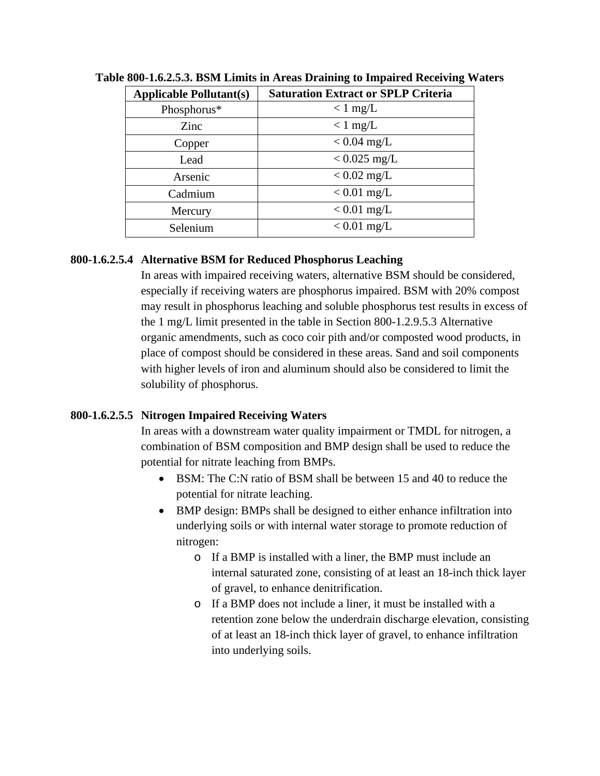| <b>Applicable Pollutant(s)</b> | <b>Saturation Extract or SPLP Criteria</b> |
|--------------------------------|--------------------------------------------|
| Phosphorus*                    | $< 1$ mg/L                                 |
| Zinc                           | $< 1$ mg/L                                 |
| Copper                         | $< 0.04$ mg/L                              |
| Lead                           | $< 0.025$ mg/L                             |
| Arsenic                        | $< 0.02$ mg/L                              |
| Cadmium                        | $< 0.01$ mg/L                              |
| Mercury                        | $< 0.01$ mg/L                              |
| Selenium                       | $< 0.01$ mg/L                              |

**Table 800-1.6.2.5.3. BSM Limits in Areas Draining to Impaired Receiving Waters**

## **800-1.6.2.5.4 Alternative BSM for Reduced Phosphorus Leaching**

In areas with impaired receiving waters, alternative BSM should be considered, especially if receiving waters are phosphorus impaired. BSM with 20% compost may result in phosphorus leaching and soluble phosphorus test results in excess of the 1 mg/L limit presented in the table in Section 800-1.2.9.5.3 Alternative organic amendments, such as coco coir pith and/or composted wood products, in place of compost should be considered in these areas. Sand and soil components with higher levels of iron and aluminum should also be considered to limit the solubility of phosphorus.

## **800-1.6.2.5.5 Nitrogen Impaired Receiving Waters**

In areas with a downstream water quality impairment or TMDL for nitrogen, a combination of BSM composition and BMP design shall be used to reduce the potential for nitrate leaching from BMPs.

- BSM: The C:N ratio of BSM shall be between 15 and 40 to reduce the potential for nitrate leaching.
- BMP design: BMPs shall be designed to either enhance infiltration into underlying soils or with internal water storage to promote reduction of nitrogen:
	- o If a BMP is installed with a liner, the BMP must include an internal saturated zone, consisting of at least an 18-inch thick layer of gravel, to enhance denitrification.
	- o If a BMP does not include a liner, it must be installed with a retention zone below the underdrain discharge elevation, consisting of at least an 18-inch thick layer of gravel, to enhance infiltration into underlying soils.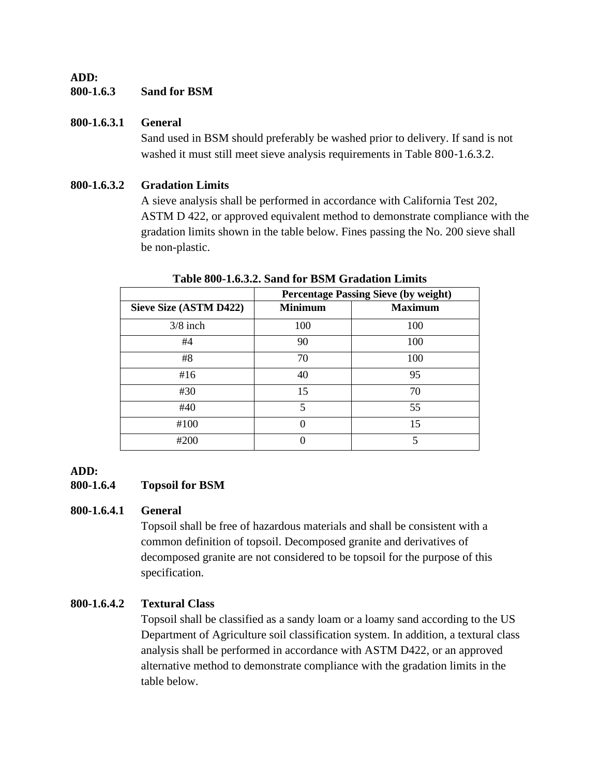## **ADD: 800-1.6.3 Sand for BSM**

## **800-1.6.3.1 General**

Sand used in BSM should preferably be washed prior to delivery. If sand is not washed it must still meet sieve analysis requirements in Table 800-1.6.3.2.

## **800-1.6.3.2 Gradation Limits**

A sieve analysis shall be performed in accordance with California Test 202, ASTM D 422, or approved equivalent method to demonstrate compliance with the gradation limits shown in the table below. Fines passing the No. 200 sieve shall be non-plastic.

|                        | <b>Percentage Passing Sieve (by weight)</b> |                |  |
|------------------------|---------------------------------------------|----------------|--|
| Sieve Size (ASTM D422) | <b>Minimum</b>                              | <b>Maximum</b> |  |
| $3/8$ inch             | 100                                         | 100            |  |
| #4                     | 90                                          | 100            |  |
| #8                     | 70                                          | 100            |  |
| #16                    | 40                                          | 95             |  |
| #30                    | 15                                          | 70             |  |
| #40                    | 5                                           | 55             |  |
| #100                   |                                             | 15             |  |
| #200                   |                                             |                |  |

**Table 800-1.6.3.2. Sand for BSM Gradation Limits**

## **ADD:**

## **800-1.6.4 Topsoil for BSM**

## **800-1.6.4.1 General**

Topsoil shall be free of hazardous materials and shall be consistent with a common definition of topsoil. Decomposed granite and derivatives of decomposed granite are not considered to be topsoil for the purpose of this specification.

# **800-1.6.4.2 Textural Class**

Topsoil shall be classified as a sandy loam or a loamy sand according to the US Department of Agriculture soil classification system. In addition, a textural class analysis shall be performed in accordance with ASTM D422, or an approved alternative method to demonstrate compliance with the gradation limits in the table below.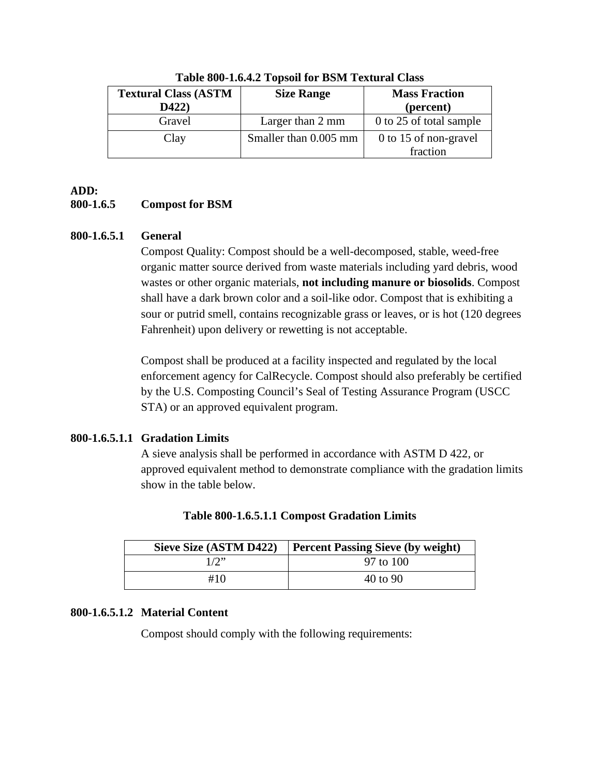| <b>Textural Class (ASTM</b><br>D422) | <b>Size Range</b>     | <b>Mass Fraction</b><br>(percent) |
|--------------------------------------|-----------------------|-----------------------------------|
| Gravel                               | Larger than 2 mm      | 0 to 25 of total sample           |
| Clay                                 | Smaller than 0.005 mm | 0 to 15 of non-gravel             |
|                                      |                       | fraction                          |

**Table 800-1.6.4.2 Topsoil for BSM Textural Class**

# **ADD:**

# **800-1.6.5 Compost for BSM**

## **800-1.6.5.1 General**

Compost Quality: Compost should be a well-decomposed, stable, weed-free organic matter source derived from waste materials including yard debris, wood wastes or other organic materials, **not including manure or biosolids**. Compost shall have a dark brown color and a soil-like odor. Compost that is exhibiting a sour or putrid smell, contains recognizable grass or leaves, or is hot (120 degrees Fahrenheit) upon delivery or rewetting is not acceptable.

Compost shall be produced at a facility inspected and regulated by the local enforcement agency for CalRecycle. Compost should also preferably be certified by the U.S. Composting Council's Seal of Testing Assurance Program (USCC STA) or an approved equivalent program.

# **800-1.6.5.1.1 Gradation Limits**

A sieve analysis shall be performed in accordance with ASTM D 422, or approved equivalent method to demonstrate compliance with the gradation limits show in the table below.

| Sieve Size (ASTM D422) | <b>Percent Passing Sieve (by weight)</b> |
|------------------------|------------------------------------------|
| 1/2                    | 97 to 100                                |
| #10                    | $40 \text{ to } 90$                      |

| Table 800-1.6.5.1.1 Compost Gradation Limits |  |  |
|----------------------------------------------|--|--|
|                                              |  |  |

## **800-1.6.5.1.2 Material Content**

Compost should comply with the following requirements: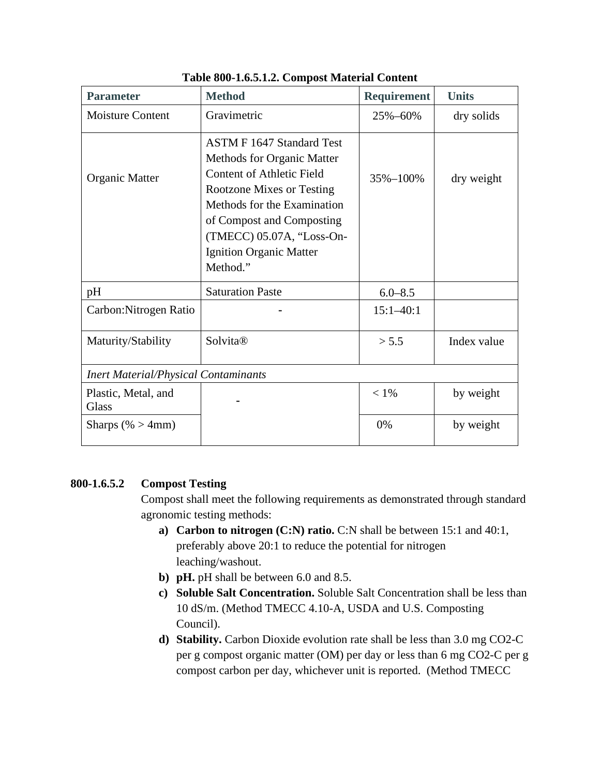| <b>Parameter</b>                            | <b>Method</b>                                                                                                                                                                                                                                                          | <b>Requirement</b> | <b>Units</b> |
|---------------------------------------------|------------------------------------------------------------------------------------------------------------------------------------------------------------------------------------------------------------------------------------------------------------------------|--------------------|--------------|
| <b>Moisture Content</b>                     | Gravimetric                                                                                                                                                                                                                                                            | 25%-60%            | dry solids   |
| Organic Matter                              | <b>ASTM F 1647 Standard Test</b><br>Methods for Organic Matter<br><b>Content of Athletic Field</b><br><b>Rootzone Mixes or Testing</b><br>Methods for the Examination<br>of Compost and Composting<br>(TMECC) 05.07A, "Loss-On-<br>Ignition Organic Matter<br>Method." | 35%-100%           | dry weight   |
| pH                                          | <b>Saturation Paste</b>                                                                                                                                                                                                                                                | $6.0 - 8.5$        |              |
| Carbon: Nitrogen Ratio                      |                                                                                                                                                                                                                                                                        | $15:1 - 40:1$      |              |
| Maturity/Stability                          | Solvita®                                                                                                                                                                                                                                                               | > 5.5              | Index value  |
| <b>Inert Material/Physical Contaminants</b> |                                                                                                                                                                                                                                                                        |                    |              |
| Plastic, Metal, and<br>Glass                |                                                                                                                                                                                                                                                                        | $< 1\%$            | by weight    |
| Sharps (% $>$ 4mm)                          |                                                                                                                                                                                                                                                                        | 0%                 | by weight    |

#### **Table 800-1.6.5.1.2. Compost Material Content**

## **800-1.6.5.2 Compost Testing**

Compost shall meet the following requirements as demonstrated through standard agronomic testing methods:

- **a) Carbon to nitrogen (C:N) ratio.** C:N shall be between 15:1 and 40:1, preferably above 20:1 to reduce the potential for nitrogen leaching/washout.
- **b) pH.** pH shall be between 6.0 and 8.5.
- **c) Soluble Salt Concentration.** Soluble Salt Concentration shall be less than 10 dS/m. (Method TMECC 4.10-A, USDA and U.S. Composting Council).
- **d) Stability.** Carbon Dioxide evolution rate shall be less than 3.0 mg CO2-C per g compost organic matter (OM) per day or less than 6 mg CO2-C per g compost carbon per day, whichever unit is reported. (Method TMECC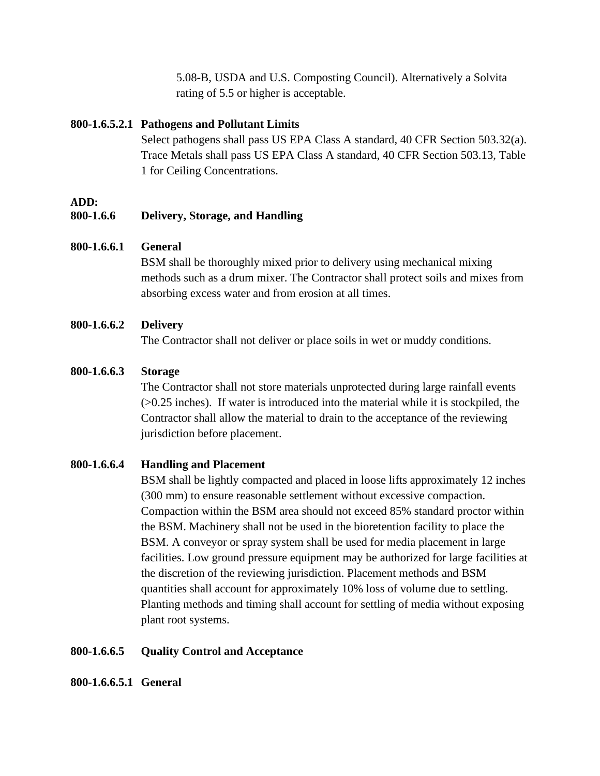5.08-B, USDA and U.S. Composting Council). Alternatively a Solvita rating of 5.5 or higher is acceptable.

#### **800-1.6.5.2.1 Pathogens and Pollutant Limits**

Select pathogens shall pass US EPA Class A standard, 40 CFR Section 503.32(a). Trace Metals shall pass US EPA Class A standard, 40 CFR Section 503.13, Table 1 for Ceiling Concentrations.

#### **ADD:**

#### **800-1.6.6 Delivery, Storage, and Handling**

#### **800-1.6.6.1 General**

BSM shall be thoroughly mixed prior to delivery using mechanical mixing methods such as a drum mixer. The Contractor shall protect soils and mixes from absorbing excess water and from erosion at all times.

#### **800-1.6.6.2 Delivery**

The Contractor shall not deliver or place soils in wet or muddy conditions.

#### **800-1.6.6.3 Storage**

The Contractor shall not store materials unprotected during large rainfall events (>0.25 inches). If water is introduced into the material while it is stockpiled, the Contractor shall allow the material to drain to the acceptance of the reviewing jurisdiction before placement.

## **800-1.6.6.4 Handling and Placement**

BSM shall be lightly compacted and placed in loose lifts approximately 12 inches (300 mm) to ensure reasonable settlement without excessive compaction. Compaction within the BSM area should not exceed 85% standard proctor within the BSM. Machinery shall not be used in the bioretention facility to place the BSM. A conveyor or spray system shall be used for media placement in large facilities. Low ground pressure equipment may be authorized for large facilities at the discretion of the reviewing jurisdiction. Placement methods and BSM quantities shall account for approximately 10% loss of volume due to settling. Planting methods and timing shall account for settling of media without exposing plant root systems.

#### **800-1.6.6.5 Quality Control and Acceptance**

#### **800-1.6.6.5.1 General**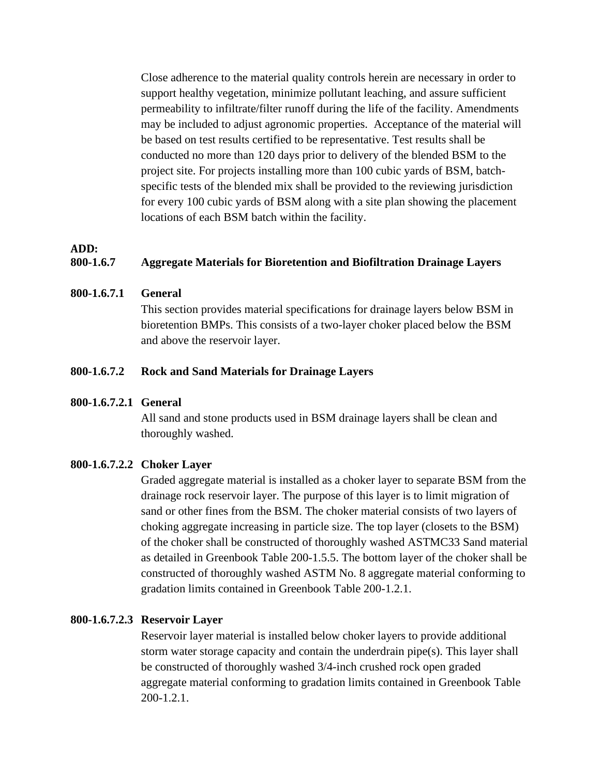Close adherence to the material quality controls herein are necessary in order to support healthy vegetation, minimize pollutant leaching, and assure sufficient permeability to infiltrate/filter runoff during the life of the facility. Amendments may be included to adjust agronomic properties. Acceptance of the material will be based on test results certified to be representative. Test results shall be conducted no more than 120 days prior to delivery of the blended BSM to the project site. For projects installing more than 100 cubic yards of BSM, batchspecific tests of the blended mix shall be provided to the reviewing jurisdiction for every 100 cubic yards of BSM along with a site plan showing the placement locations of each BSM batch within the facility.

#### **ADD:**

#### **800-1.6.7 Aggregate Materials for Bioretention and Biofiltration Drainage Layers**

#### **800-1.6.7.1 General**

This section provides material specifications for drainage layers below BSM in bioretention BMPs. This consists of a two-layer choker placed below the BSM and above the reservoir layer.

#### **800-1.6.7.2 Rock and Sand Materials for Drainage Layers**

#### **800-1.6.7.2.1 General**

All sand and stone products used in BSM drainage layers shall be clean and thoroughly washed.

#### **800-1.6.7.2.2 Choker Layer**

Graded aggregate material is installed as a choker layer to separate BSM from the drainage rock reservoir layer. The purpose of this layer is to limit migration of sand or other fines from the BSM. The choker material consists of two layers of choking aggregate increasing in particle size. The top layer (closets to the BSM) of the choker shall be constructed of thoroughly washed ASTMC33 Sand material as detailed in Greenbook Table 200-1.5.5. The bottom layer of the choker shall be constructed of thoroughly washed ASTM No. 8 aggregate material conforming to gradation limits contained in Greenbook Table 200-1.2.1.

#### **800-1.6.7.2.3 Reservoir Layer**

Reservoir layer material is installed below choker layers to provide additional storm water storage capacity and contain the underdrain pipe(s). This layer shall be constructed of thoroughly washed 3/4-inch crushed rock open graded aggregate material conforming to gradation limits contained in Greenbook Table 200-1.2.1.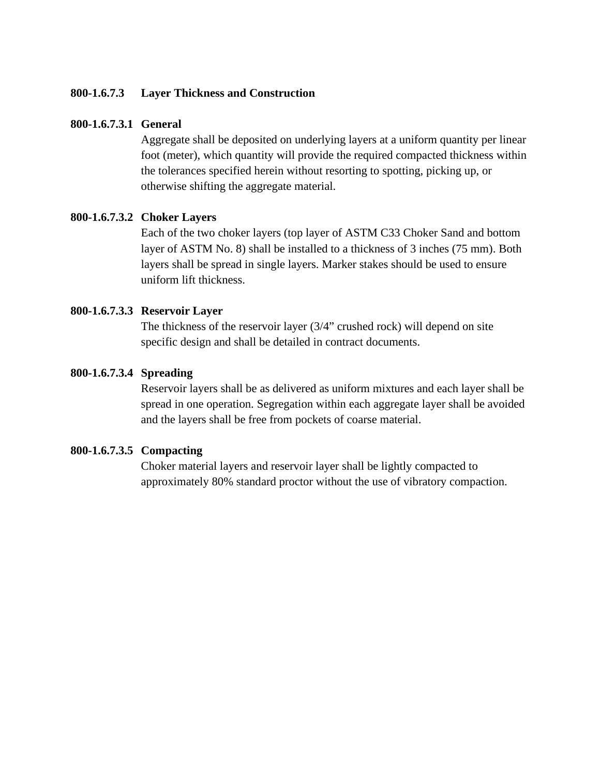#### **800-1.6.7.3 Layer Thickness and Construction**

#### **800-1.6.7.3.1 General**

Aggregate shall be deposited on underlying layers at a uniform quantity per linear foot (meter), which quantity will provide the required compacted thickness within the tolerances specified herein without resorting to spotting, picking up, or otherwise shifting the aggregate material.

#### **800-1.6.7.3.2 Choker Layers**

Each of the two choker layers (top layer of ASTM C33 Choker Sand and bottom layer of ASTM No. 8) shall be installed to a thickness of 3 inches (75 mm). Both layers shall be spread in single layers. Marker stakes should be used to ensure uniform lift thickness.

#### **800-1.6.7.3.3 Reservoir Layer**

The thickness of the reservoir layer (3/4" crushed rock) will depend on site specific design and shall be detailed in contract documents.

#### **800-1.6.7.3.4 Spreading**

Reservoir layers shall be as delivered as uniform mixtures and each layer shall be spread in one operation. Segregation within each aggregate layer shall be avoided and the layers shall be free from pockets of coarse material.

#### **800-1.6.7.3.5 Compacting**

Choker material layers and reservoir layer shall be lightly compacted to approximately 80% standard proctor without the use of vibratory compaction.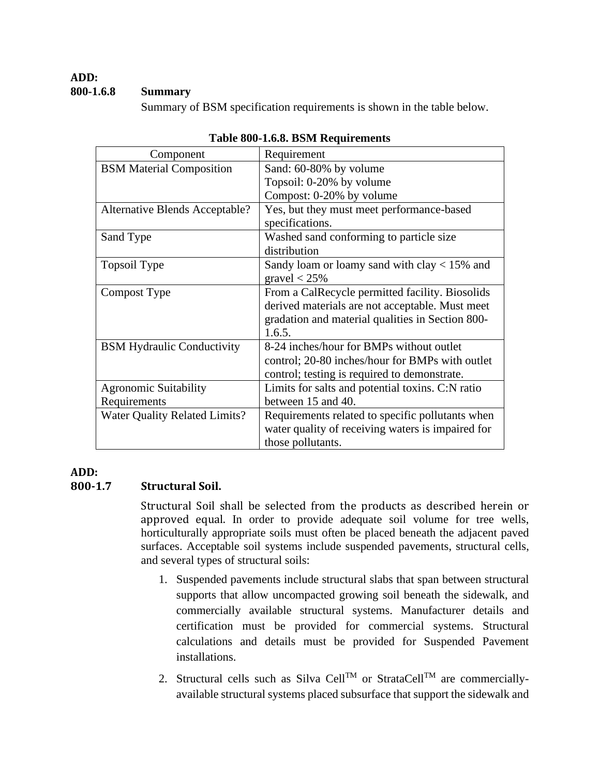#### **ADD: 800-1.6.8 Summary**

Summary of BSM specification requirements is shown in the table below.

| Component                            | Requirement                                       |  |
|--------------------------------------|---------------------------------------------------|--|
| <b>BSM</b> Material Composition      | Sand: 60-80% by volume                            |  |
|                                      | Topsoil: 0-20% by volume                          |  |
|                                      | Compost: 0-20% by volume                          |  |
| Alternative Blends Acceptable?       | Yes, but they must meet performance-based         |  |
|                                      | specifications.                                   |  |
| Sand Type                            | Washed sand conforming to particle size           |  |
|                                      | distribution                                      |  |
| Topsoil Type                         | Sandy loam or loamy sand with clay $< 15\%$ and   |  |
|                                      | gravel $<$ 25%                                    |  |
| Compost Type                         | From a CalRecycle permitted facility. Biosolids   |  |
|                                      | derived materials are not acceptable. Must meet   |  |
|                                      | gradation and material qualities in Section 800-  |  |
|                                      | 1.6.5.                                            |  |
| <b>BSM Hydraulic Conductivity</b>    | 8-24 inches/hour for BMPs without outlet          |  |
|                                      | control; 20-80 inches/hour for BMPs with outlet   |  |
|                                      | control; testing is required to demonstrate.      |  |
| <b>Agronomic Suitability</b>         | Limits for salts and potential toxins. C:N ratio  |  |
| Requirements                         | between 15 and 40.                                |  |
| <b>Water Quality Related Limits?</b> | Requirements related to specific pollutants when  |  |
|                                      | water quality of receiving waters is impaired for |  |
|                                      | those pollutants.                                 |  |

|  |  |  | Table 800-1.6.8. BSM Requirements |
|--|--|--|-----------------------------------|
|--|--|--|-----------------------------------|

## **ADD:**

## **800-1.7 Structural Soil.**

Structural Soil shall be selected from the products as described herein or approved equal. In order to provide adequate soil volume for tree wells, horticulturally appropriate soils must often be placed beneath the adjacent paved surfaces. Acceptable soil systems include suspended pavements, structural cells, and several types of structural soils:

- 1. Suspended pavements include structural slabs that span between structural supports that allow uncompacted growing soil beneath the sidewalk, and commercially available structural systems. Manufacturer details and certification must be provided for commercial systems. Structural calculations and details must be provided for Suspended Pavement installations.
- 2. Structural cells such as Silva Cell<sup>TM</sup> or StrataCell<sup>TM</sup> are commerciallyavailable structural systems placed subsurface that support the sidewalk and